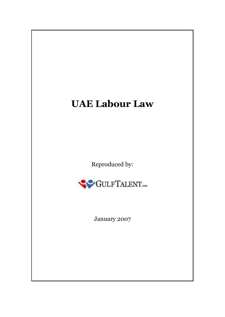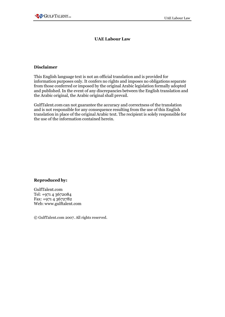#### **UAE Labour Law**

#### **Disclaimer**

This English language text is not an official translation and is provided for information purposes only. It confers no rights and imposes no obligations separate from those conferred or imposed by the original Arabic legislation formally adopted and published. In the event of any discrepancies between the English translation and the Arabic original, the Arabic original shall prevail.

GulfTalent.com can not guarantee the accuracy and correctness of the translation and is not responsible for any consequence resulting from the use of this English translation in place of the original Arabic text. The recipient is solely responsible for the use of the information contained herein.

#### **Reproduced by:**

GulfTalent.com Tel: +971 4 3672084 Fax: +971 4 3672782 Web: [www.gulftalent.com](http://www.gulftalent.com/)

© GulfTalent.com 2007. All rights reserved.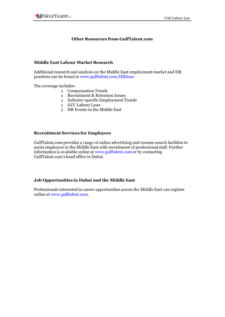## **Other Resources from GulfTalent.com**

#### **Middle East Labour Market Research**

Additional research and analysis on the Middle East employment market and HR practices can be found at [www.gulftalent.com/HRZone](http://www.gulftalent.com/HRZone)

The coverage includes:

- y Compensation Trends
- y Recruitment & Retention Issues
- y Industry-specific Employment Trends
- y GCC Labour Laws
- y HR Events in the Middle East

#### **Recruitment Services for Employers**

GulfTalent.com provides a range of online advertising and resume search facilities to assist employers in the Middle East with recruitment of professional staff. Further information is available online at [www.gulftalent.como](http://www.gulftalent.com/)r by contacting GulfTalent.com's head office in Dubai.

## **Job [Opportunities](http://www.gulftalent.com/) in Dubai and the Middle East**

Professionals interested in career opportunities across the Middle East can register online at [www.gulftalent.com.](http://www.gulftalent.com/)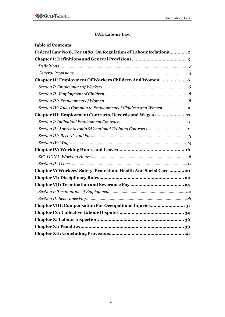## **UAE Labour Law**

| <b>Table of Contents</b>                                           |
|--------------------------------------------------------------------|
| Federal Law No 8, For 1980, On Regulation of Labour Relations 2    |
|                                                                    |
|                                                                    |
|                                                                    |
| Chapter II: Employment Of Workers Children And Women  6            |
|                                                                    |
|                                                                    |
|                                                                    |
| Section IV: Rules Common to Employment of Children and Women 9     |
| Chapter III: Employment Contracts, Records and Wages  11           |
|                                                                    |
| Section II: Apprenticeship & Vocational Training Contracts 12      |
|                                                                    |
|                                                                    |
|                                                                    |
|                                                                    |
|                                                                    |
| Chapter V: Workers' Safety, Protection, Health And Social Care  20 |
|                                                                    |
|                                                                    |
|                                                                    |
|                                                                    |
| Chapter VIII: Compensation For Occupational Injuries31             |
|                                                                    |
|                                                                    |
|                                                                    |
|                                                                    |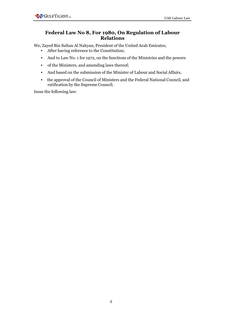# **Federal Law No 8, For 1980, On Regulation of Labour Relations**

We, Zayed Bin Sultan Al Nahyan, President of the United Arab Emirates;

- After having reference to the Constitution;
- And to Law No. 1 for 1972, on the functions of the Ministries and the powers
- of the Ministers, and amending laws thereof;
- And based on the submission of the Minister of Labour and Social Affairs,
- the approval of the Council of Ministers and the Federal National Council, and ratification by the Supreme Council;

Issue the following law: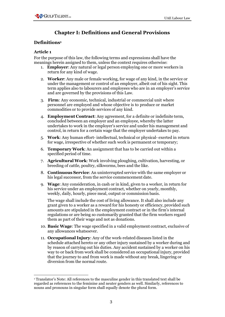# **Chapter I: Definitions and General Provisions**

## **Definitions<sup>1</sup>**

## **Article 1**

For the purpose of this law, the following terms and expressions shall have the meanings herein assigned to them, unless the context requires otherwise:

- 1. **Employer**: Any natural or legal person employing one or more workers in return for any kind of wage.
- 2. **Worker**: Any male or female working, for wage of any kind, in the service or under the management or control of an employer, albeit out of his sight. This term applies also to labourers and employees who are in an employer's service and are governed by the provisions of this Law.
- 3. **Firm**: Any economic, technical, industrial or commercial unit where personnel are employed and whose objective is to produce or market commodities or to provide services of any kind.
- 4. **Employment Contract**: Any agreement, for a definite or indefinite term, concluded between an employer and an employee, whereby the latter undertakes to work in the employer's service and under his management and control, in return for a certain wage that the employer undertakes to pay.
- 5. **Work**: Any human effort- intellectual, technical or physical- exerted in return for wage, irrespective of whether such work is permanent or temporary;
- 6. **Temporary Work**: An assignment that has to be carried out within a specified period of time.
- 7. **Agricultural Work**: Work involving ploughing, cultivation, harvesting, or breeding of cattle, poultry, silkworms, bees and the like.
- 8. **Continuous Service**: An uninterrupted service with the same employer or his legal successor, from the service commencement date.
- 9. **Wage**: Any consideration, in cash or in kind, given to a worker, in return for his service under an employment contract, whether on yearly, monthly, weekly, daily, hourly, piece meal, output or commission basis.

The wage shall include the cost of living allowance. It shall also include any grant given to a worker as a reward for his honesty or efficiency, provided such amounts are stipulated in the employment contract or in the firm's internal regulations or are being so customarily granted that the firm workers regard them as part of their wage and not as donations.

- 10. **Basic Wage**: The wage specified in a valid employment contract, exclusive of any allowances whatsoever.
- 11. **Occupational Injury**: Any of the work-related diseases listed in the schedule attached hereto or any other injury sustained by a worker during and by reason of carrying out his duties. Any accident sustained by a worker on his way to or back from work shall be considered an occupational injury, provided that the journey to and from work is made without any break, lingering or diversion from the normal route.

<sup>1</sup> Translator's Note: All references to the masculine gender in this translated text shall be regarded as references to the feminine and neuter genders as well. Similarly, references to nouns and pronouns in singular form shall equally denote the plural form.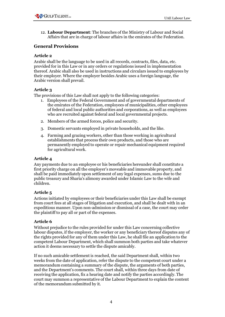12. **Labour Department**: The branches of the Ministry of Labour and Social Affairs that are in charge of labour affairs in the emirates of the Federation.

## **General Provisions**

## **Article 2**

Arabic shall be the language to be used in all records, contracts, files, data, etc. provided for in this Law or in any orders or regulations issued in implementation thereof. Arabic shall also be used in instructions and circulars issued to employees by their employer. Where the employer besides Arabic uses a foreign language, the Arabic version shall prevail.

## **Article 3**

The provisions of this Law shall not apply to the following categories:

- 1. Employees of the Federal Government and of governmental departments of the emirates of the Federation, employees of municipalities, other employees of federal and local public authorities and corporations, as well as employees who are recruited against federal and local governmental projects.
- 2. Members of the armed forces, police and security.
- 3. Domestic servants employed in private households, and the like.
- 4. Farming and grazing workers, other than those working in agricultural establishments that process their own products, and those who are permanently employed to operate or repair mechanical equipment required for agricultural work.

## **Article 4**

Any payments due to an employee or his beneficiaries hereunder shall constitute a first priority charge on all the employer's moveable and immovable property, and shall be paid immediately upon settlement of any legal expenses, sums due to the public treasury and Sharia's alimony awarded under Islamic Law to the wife and children.

## **Article 5**

Actions initiated by employees or their beneficiaries under this Law shall be exempt from court fees at all stages of litigation and execution, and shall be dealt with in an expeditious manner. Upon non-admission or dismissal of a case, the court may order the plaintiff to pay all or part of the expenses.

## **Article 6**

Without prejudice to the rules provided for under this Law concerning collective labour disputes, if the employer, the worker or any beneficiary thereof disputes any of the rights provided for any of them under this Law, he shall file an application to the competent Labour Department, which shall summon both parties and take whatever action it deems necessary to settle the dispute amicably.

If no such amicable settlement is reached, the said Department shall, within two weeks from the date of application, refer the dispute to the competent court under a memorandum containing a summary of the dispute, the arguments of both parties, and the Department's comments. The court shall, within three days from date of receiving the application, fix a hearing date and notify the parties accordingly. The court may summon a representative of the Labour Department to explain the content of the memorandum submitted by it.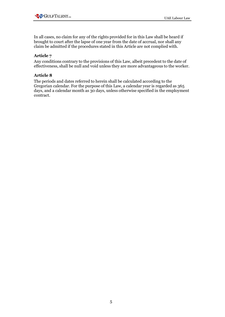In all cases, no claim for any of the rights provided for in this Law shall be heard if brought to court after the lapse of one year from the date of accrual, nor shall any claim be admitted if the procedures stated in this Article are not complied with.

## **Article 7**

Any conditions contrary to the provisions of this Law, albeit precedent to the date of effectiveness, shall be null and void unless they are more advantageous to the worker.

## **Article 8**

The periods and dates referred to herein shall be calculated according to the Gregorian calendar. For the purpose of this Law, a calendar year is regarded as 365 days, and a calendar month as 30 days, unless otherwise specified in the employment contract.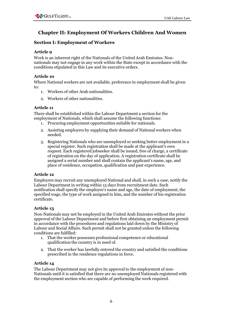# **Chapter II: Employment Of Workers Children And Women**

# **Section I: Employment of Workers**

## **Article 9**

Work is an inherent right of the Nationals of the United Arab Emirates. Nonnationals may not engage in any work within the State except in accordance with the conditions stipulated in this Law and its executive orders.

## **Article 10**

Where National workers are not available, preference in employment shall be given to:

- 1. Workers of other Arab nationalities.
- 2. Workers of other nationalities.

## **Article 11**

There shall be established within the Labour Department a section for the employment of Nationals, which shall assume the following functions:

- 1. Procuring employment opportunities suitable for nationals.
- 2. Assisting employers by supplying their demand of National workers when needed.
- 3. Registering Nationals who are unemployed or seeking better employment in a special register. Such registration shall be made at the applicant's own request. Each registered jobseeker shall be issued, free of charge, a certificate of registration on the day of application. A registration certificate shall be assigned a serial number and shall contain the applicant's name, age, and place of residence, occupation, qualification and past experience.

# **Article 12**

Employers may recruit any unemployed National and shall, in such a case, notify the Labour Department in writing within 15 days from recruitment date. Such notification shall specify the employee's name and age, the date of employment, the specified wage, the type of work assigned to him, and the number of his registration certificate.

# **Article 13**

Non-Nationals may not be employed in the United Arab Emirates without the prior approval of the Labour Department and before first obtaining an employment permit in accordance with the procedures and regulations laid down by the Ministry of Labour and Social Affairs. Such permit shall not be granted unless the following conditions are fulfilled:

- 1. That the worker possesses professional competence or educational qualification the country is in need of.
- 2. That the worker has lawfully entered the country and satisfied the conditions prescribed in the residence regulations in force.

## **Article 14**

The Labour Department may not give its approval to the employment of non-Nationals until it is satisfied that there are no unemployed Nationals registered with the employment section who are capable of performing the work required.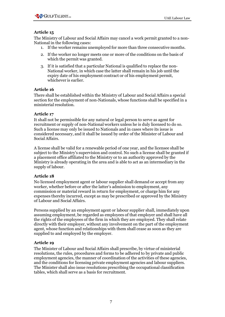

The Ministry of Labour and Social Affairs may cancel a work permit granted to a non-National in the following cases:

- 1. If the worker remains unemployed for more than three consecutive months.
- 2. If the worker no longer meets one or more of the conditions on the basis of which the permit was granted.
- 3. If it is satisfied that a particular National is qualified to replace the non-National worker, in which case the latter shall remain in his job until the expiry date of his employment contract or of his employment permit, whichever is earlier.

#### **Article 16**

There shall be established within the Ministry of Labour and Social Affairs a special section for the employment of non-Nationals, whose functions shall be specified in a ministerial resolution.

#### **Article 17**

It shall not be permissible for any natural or legal person to serve as agent for recruitment or supply of non-National workers unless he is duly licensed to do so. Such a license may only be issued to Nationals and in cases where its issue is considered necessary, and it shall be issued by order of the Minister of Labour and Social Affairs.

A license shall be valid for a renewable period of one year, and the licensee shall be subject to the Ministry's supervision and control. No such a license shall be granted if a placement office affiliated to the Ministry or to an authority approved by the Ministry is already operating in the area and is able to act as an intermediary in the supply of labour.

#### **Article 18**

No licensed employment agent or labour supplier shall demand or accept from any worker, whether before or after the latter's admission to employment, any commission or material reward in return for employment, or charge him for any expenses thereby incurred, except as may be prescribed or approved by the Ministry of Labour and Social Affairs.

Persons supplied by an employment agent or labour supplier shall, immediately upon assuming employment, be regarded as employees of that employer and shall have all the rights of the employees of the firm in which they are employed. They shall relate directly with their employer, without any involvement on the part of the employment agent, whose function and relationships with them shall cease as soon as they are supplied to and employed by the employer.

## **Article 19**

The Minister of Labour and Social Affairs shall prescribe, by virtue of ministerial resolutions, the rules, procedures and forms to be adhered to by private and public employment agencies, the manner of coordination of the activities of these agencies, and the conditions for licensing private employment agencies and labour suppliers. The Minister shall also issue resolutions prescribing the occupational classification tables, which shall serve as a basis for recruitment.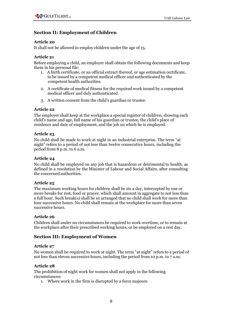# **Section II: Employment of Children**

### **Article 20**

It shall not be allowed to employ children under the age of 15.

## **Article 21**

Before employing a child, an employer shall obtain the following documents and keep them in his personal file:

- 1. A birth certificate, or an official extract thereof, or age estimation certificate, to be issued by a competent medical officer and authenticated by the competent health authorities.
- 2. A certificate of medical fitness for the required work issued by a competent medical officer and duly authenticated.
- 3. A written consent from the child's guardian or trustee.

### **Article 22**

The employer shall keep at the workplace a special register of children, showing each child's name and age, full name of his guardian or trustee, the child's place of residence and date of employment, and the job on which he is employed.

#### **Article 23**

No child shall be made to work at night in an industrial enterprise. The term "at night" refers to a period of not less than twelve consecutive hours, including the period from 8 p.m. to 6 a.m.

### **Article 24**

No child shall be employed on any job that is hazardous or detrimental to health, as defined in a resolution by the Minister of Labour and Social Affairs, after consulting the concerned authorities.

#### **Article 25**

The maximum working hours for children shall be six a day, intercepted by one or more breaks for rest, food or prayer, which shall amount in aggregate to not less than a full hour. Such break(s) shall be so arranged that no child shall work for more than four successive hours. No child shall remain at the workplace for more than seven successive hours.

#### **Article 26**

Children shall under no circumstances be required to work overtime, or to remain at the workplace after their prescribed working hours, or be employed on a rest day.

## **Section III: Employment of Women**

#### **Article 27**

No women shall be required to work at night. The term "at night" refers to a period of not less than eleven successive hours, including the period from 10 p.m. to 7 a.m.

#### **Article 28**

The prohibition of night work for women shall not apply in the following circumstances:

1. Where work in the firm is disrupted by a force majeure.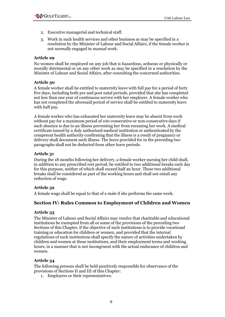- 2. Executive managerial and technical staff.
- 3. Work in such health services and other business as may be specified in a resolution by the Minister of Labour and Social Affairs, if the female worker is not normally engaged in manual work.

No women shall be employed on any job that is hazardous, arduous or physically or morally detrimental or on any other work as may be specified in a resolution by the Minister of Labour and Social Affairs, after consulting the concerned authorities.

## **Article 30**

A female worker shall be entitled to maternity leave with full pay for a period of forty five days, including both pre and post natal periods, provided that she has completed not less than one year of continuous service with her employer. A female worker who has not completed the aforesaid period of service shall be entitled to maternity leave with half pay.

A female worker who has exhausted her maternity leave may be absent from work without pay for a maximum period of 100 consecutive or non-consecutive days if such absence is due to an illness preventing her from resuming her work. A medical certificate issued by a duly authorized medical institution or authenticated by the competent health authority confirming that the illness is a result of pregnancy or delivery shall document such illness. The leave provided for in the preceding two paragraphs shall not be deducted from other leave periods.

### **Article 31**

During the 18 months following her delivery, a female worker nursing her child shall, in addition to any prescribed rest period, be entitled to two additional breaks each day for this purpose, neither of which shall exceed half an hour. These two additional breaks shall be considered as part of the working hours and shall not entail any reduction of wage.

## **Article 32**

A female wage shall be equal to that of a male if she performs the same work.

## **Section IV: Rules Common to Employment of Children and Women**

#### **Article 33**

The Minister of Labour and Social Affairs may resolve that charitable and educational institutions be exempted from all or some of the provisions of the preceding two Sections of this Chapter, if the objective of such institutions is to provide vocational training or education for children or women, and provided that the internal regulations of such institutions shall specify the nature of activities undertaken by children and women at these institutions, and their employment terms and working hours, in a manner that is not incongruent with the actual endurance of children and women.

## **Article 34**

The following persons shall be held punitively responsible for observance of the provisions of Sections II and III of this Chapter:

1. Employers or their representatives.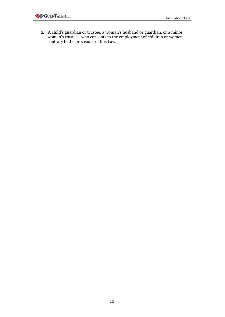2. A child's guardian or trustee, a woman's husband or guardian, or a minor woman's trustee - who consents to the employment of children or women contrary to the provisions of this Law.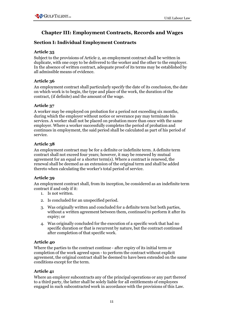# **Chapter III: Employment Contracts, Records and Wages**

# **Section I: Individual Employment Contracts**

## **Article 35**

Subject to the provisions of Article 2, an employment contract shall be written in duplicate, with one copy to be delivered to the worker and the other to the employer. In the absence of written contract, adequate proof of its terms may be established by all admissible means of evidence.

## **Article 36**

An employment contract shall particularly specify the date of its conclusion, the date on which work is to begin, the type and place of the work, the duration of the contract, (if definite) and the amount of the wage.

## **Article 37**

A worker may be employed on probation for a period not exceeding six months, during which the employer without notice or severance pay may terminate his services. A worker shall not be placed on probation more than once with the same employer. Where a worker successfully completes the period of probation and continues in employment, the said period shall be calculated as part of his period of service.

# **Article 38**

An employment contract may be for a definite or indefinite term. A definite term contract shall not exceed four years; however, it may be renewed by mutual agreement for an equal or a shorter term(s). Where a contract is renewed, the renewal shall be deemed as an extension of the original term and shall be added thereto when calculating the worker's total period of service.

# **Article 39**

An employment contract shall, from its inception, be considered as an indefinite term contract if and only if it:

- 1. Is not written.
- 2. Is concluded for an unspecified period.
- 3. Was originally written and concluded for a definite term but both parties, without a written agreement between them, continued to perform it after its expiry; or
- 4. Was originally concluded for the execution of a specific work that had no specific duration or that is recurrent by nature, but the contract continued after completion of that specific work.

## **Article 40**

Where the parties to the contract continue - after expiry of its initial term or completion of the work agreed upon - to perform the contract without explicit agreement, the original contract shall be deemed to have been extended on the same conditions except for the term.

## **Article 41**

Where an employer subcontracts any of the principal operations or any part thereof to a third party, the latter shall be solely liable for all entitlements of employees engaged in such subcontracted work in accordance with the provisions of this Law.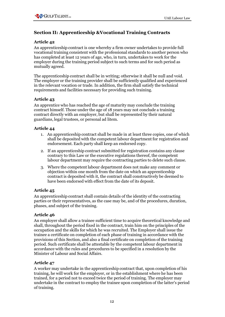# **Section II: Apprenticeship &Vocational Training Contracts**

### **Article 42**

An apprenticeship contract is one whereby a firm owner undertakes to provide full vocational training consistent with the professional standards to another person who has completed at least 12 years of age, who, in turn, undertakes to work for the employer during the training period subject to such terms and for such period as mutually agreed.

The apprenticeship contract shall be in writing; otherwise it shall be null and void. The employer or the training provider shall be sufficiently qualified and experienced in the relevant vocation or trade. In addition, the firm shall satisfy the technical requirements and facilities necessary for providing such training.

#### **Article 43**

An apprentice who has reached the age of maturity may conclude the training contract himself. Those under the age of 18 years may not conclude a training contract directly with an employer, but shall be represented by their natural guardians, legal trustees, or personal ad litem.

### **Article 44**

- 1. An apprenticeship contract shall be made in at least three copies, one of which shall be deposited with the competent labour department for registration and endorsement. Each party shall keep an endorsed copy.
- 2. If an apprenticeship contract submitted for registration contains any clause contrary to this Law or the executive regulations thereof, the competent labour department may require the contracting parties to delete such clause.
- 3. Where the competent labour department does not make any comment or objection within one month from the date on which an apprenticeship contract is deposited with it, the contract shall constructively be deemed to have been endorsed with effect from the date of its deposit.

#### **Article 45**

An apprenticeship contract shall contain details of the identity of the contracting parties or their representatives, as the case may be, and of the procedures, duration, phases, and subject of the training.

#### **Article 46**

An employer shall allow a trainee sufficient time to acquire theoretical knowledge and shall, throughout the period fixed in the contract, train him on the principles of the occupation and the skills for which he was recruited. The Employer shall issue the trainee a certificate on completion of each phase of training in accordance with the provisions of this Section, and also a final certificate on completion of the training period. Such certificate shall be attestable by the competent labour department in accordance with the rules and procedures to be specified in a resolution by the Minister of Labour and Social Affairs.

## **Article 47**

A worker may undertake in the apprenticeship contract that, upon completion of his training, he will work for the employer, or in the establishment where he has been trained, for a period not to exceed twice the period of training. The employer may undertake in the contract to employ the trainee upon completion of the latter's period of training.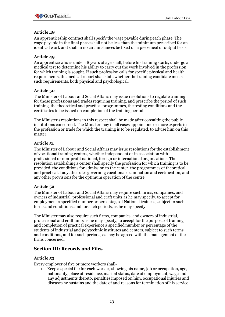An apprenticeship contract shall specify the wage payable during each phase. The wage payable in the final phase shall not be less than the minimum prescribed for an identical work and shall in no circumstances be fixed on a piecemeal or output basis.

## **Article 49**

An apprentice who is under 18 years of age shall, before his training starts, undergo a medical test to determine his ability to carry out the work involved in the profession for which training is sought. If such profession calls for specific physical and health requirements, the medical report shall state whether the training candidate meets such requirements, both physical and psychological.

## **Article 50**

The Minister of Labour and Social Affairs may issue resolutions to regulate training for those professions and trades requiring training, and prescribe the period of such training, the theoretical and practical programmes, the testing conditions and the certificates to be issued on completion of the training period.

The Minister's resolutions in this respect shall be made after consulting the public institutions concerned. The Minister may in all cases appoint one or more experts in the profession or trade for which the training is to be regulated, to advise him on this matter.

## **Article 51**

The Minister of Labour and Social Affairs may issue resolutions for the establishment of vocational training centers, whether independent or in association with professional or non-profit national, foreign or international organisations. The resolution establishing a center shall specify the profession for which training is to be provided, the conditions for admission to the center, the programmes of theoretical and practical study, the rules governing vocational examination and certification, and any other provisions for the optimum operation of the centre.

## **Article 52**

The Minister of Labour and Social Affairs may require such firms, companies, and owners of industrial, professional and craft units as he may specify, to accept for employment a specified number or percentage of National trainees, subject to such terms and conditions, and for such periods, as he may specify.

The Minister may also require such firms, companies, and owners of industrial, professional and craft units as he may specify, to accept for the purpose of training and completion of practical experience a specified number or percentage of the students of industrial and polytechnic institutes and centers, subject to such terms and conditions, and for such periods, as may be agreed with the management of the firms concerned.

# **Section III: Records and Files**

## **Article 53**

Every employer of five or more workers shall-

1. Keep a special file for each worker, showing his name, job or occupation, age, nationality, place of residence, marital status, date of employment, wage and any adjustments thereto, penalties imposed on him, occupational injuries and diseases he sustains and the date of and reasons for termination of his service.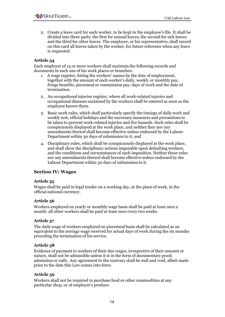2. Create a leave card for each worker, to be kept in the employee's file. It shall be divided into three parts: the first for annual leaves, the second for sick leaves and the third for other leaves. The employer, or his representative, shall record on this card all leaves taken by the worker, for future reference when any leave is requested.

## **Article 54**

Each employer of 15 or more workers shall maintain the following records and documents in each one of his work places or branches:

- 1. A wage register, listing the workers' names by the date of employment, together with the amount of each worker's daily, weekly or monthly pay, fringe benefits, piecemeal or commission pay, days of work and the date of termination.
- 2. An occupational injuries register, where all work-related injuries and occupational diseases sustained by the workers shall be entered as soon as the employee knows them.
- 3. Basic work rules, which shall particularly specify the timings of daily work and weekly rest, official holidays and the necessary measures and precautions to be taken to prevent work-related injuries and fire hazards. Such rules shall be conspicuously displayed at the work place, and neither they nor any amendments thereof shall become effective unless endorsed by the Labour Department within 30 days of submission to it; and
- 4. Disciplinary rules, which shall be conspicuously displayed at the work place, and shall show the disciplinary actions imposable upon defaulting workers, and the conditions and circumstances of such imposition. Neither these rules nor any amendments thereof shall become effective unless endorsed by the Labour Department within 30 days of submission to it.

## **Section IV: Wages**

#### **Article 55**

Wages shall be paid in legal tender on a working day, at the place of work, in the official national currency.

#### **Article 56**

Workers employed on yearly or monthly wage basis shall be paid at least once a month; all other workers shall be paid at least once every two weeks.

#### **Article 57**

The daily wage of workers employed on piecemeal basis shall be calculated as an equivalent to the average wage received for actual days of work during the six months preceding the termination of his service.

#### **Article 58**

Evidence of payment to workers of their due wages, irrespective of their amount or nature, shall not be admissible unless it is in the form of documentary proof, admission or oath.. Any agreement to the contrary shall be null and void, albeit made prior to the date this Law comes into force.

#### **Article 59**

Workers shall not be required to purchase food or other commodities at any particular shop, or of employer's produce.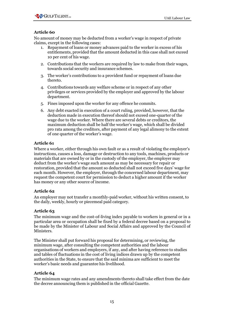

No amount of money may be deducted from a worker's wage in respect of private claims, except in the following cases:

- 1. Repayment of loans or money advances paid to the worker in excess of his entitlements, provided that the amount deducted in this case shall not exceed 10 per cent of his wage.
- 2. Contributions that the workers are required by law to make from their wages, towards social security and insurance schemes.
- 3. The worker's contributions to a provident fund or repayment of loans due thereto.
- 4. Contributions towards any welfare scheme or in respect of any other privileges or services provided by the employer and approved by the labour department.
- 5. Fines imposed upon the worker for any offence he commits.
- 6. Any debt exacted in execution of a court ruling, provided, however, that the deduction made in execution thereof should not exceed one-quarter of the wage due to the worker. Where there are several debts or creditors, the maximum deduction shall be half the worker's wage, which shall be divided pro rata among the creditors, after payment of any legal alimony to the extent of one quarter of the worker's wage.

#### **Article 61**

Where a worker, either through his own fault or as a result of violating the employer's instructions, causes a loss, damage or destruction to any tools, machines, products or materials that are owned by or in the custody of the employer, the employer may deduct from the worker's wage such amount as may be necessary for repair or restoration, provided that the amount so deducted shall not exceed five days' wage for each month. However, the employer, through the concerned labour department, may request the competent court for permission to deduct a higher amount if the worker has money or any other source of income.

#### **Article 62**

An employer may not transfer a monthly-paid worker, without his written consent, to the daily, weekly, hourly or piecemeal paid category.

#### **Article 63**

The minimum wage and the cost-of-living index payable to workers in general or in a particular area or occupation shall be fixed by a federal decree based on a proposal to be made by the Minister of Labour and Social Affairs and approved by the Council of Ministers.

The Minister shall put forward his proposal for determining, or reviewing, the minimum wage, after consulting the competent authorities and the labour organisations of workers and employers, if any, and after having reference to studies and tables of fluctuations in the cost of living indices drawn up by the competent authorities in the State, to ensure that the said minima are sufficient to meet the worker's basic needs and guarantee his livelihood.

## **Article 64**

The minimum wage rates and any amendments thereto shall take effect from the date the decree announcing them is published in the official Gazette.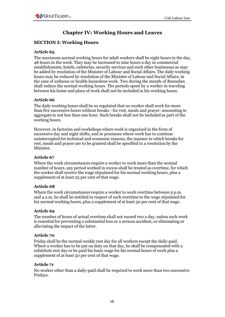# **Chapter IV: Working Hours and Leaves**

# **SECTION I: Working Hours**

## **Article 65**

The maximum normal working hours for adult workers shall be eight hours in the day, 48 hours in the week. They may be increased to nine hours a day in commercial establishments, hotels, cafeterias, security services and such other businesses as may be added by resolution of the Minister of Labour and Social Affairs. The daily working hours may be reduced by resolution of the Minister of Labour and Social Affairs, in the case of arduous or health-hazardous work. Two during the month of Ramadan shall reduce the normal working hours. The periods spent by a worker in traveling between his home and place of work shall not be included in his working hours.

#### **Article 66**

The daily working hours shall be so regulated that no worker shall work for more than five successive hours without breaks - for rest, meals and prayer- amounting in aggregate to not less than one hour. Such breaks shall not be included as part of the working hours.

However, in factories and workshops where work is organised in the form of successive day and night shifts, and in processes where work has to continue uninterrupted for technical and economic reasons, the manner in which breaks for rest, meals and prayer are to be granted shall be specified in a resolution by the Minister.

### **Article 67**

Where the work circumstances require a worker to work more than the normal number of hours, any period worked in excess shall be treated as overtime, for which the worker shall receive the wage stipulated for his normal working hours, plus a supplement of at least 25 per cent of that wage.

#### **Article 68**

Where the work circumstances require a worker to work overtime between 9 p.m. and 4 a.m. he shall be entitled in respect of such overtime to the wage stipulated for his normal working hours, plus a supplement of at least 50 per cent of that wage.

## **Article 69**

The number of hours of actual overtime shall not exceed two a day, unless such work is essential for preventing a substantial loss or a serious accident, or eliminating or alleviating the impact of the latter.

#### **Article 70**

Friday shall be the normal weekly rest day for all workers except the daily-paid. Where a worker has to be put on duty on that day, he shall be compensated with a substitute rest day or be paid his basic wage for his normal hours of work plus a supplement of at least 50 per cent of that wage.

#### **Article 71**

No worker other than a daily-paid shall be required to work more than two successive Fridays.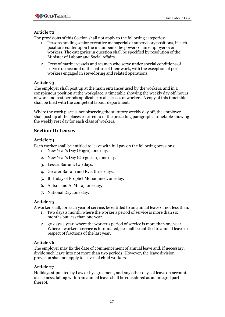The provisions of this Section shall not apply to the following categories:

- 1. Persons holding senior executive managerial or supervisory positions, if such positions confer upon the incumbents the powers of an employer over workers. The categories in question shall be specified by resolution of the Minister of Labour and Social Affairs.
- 2. Crew of marine vessels and seamen who serve under special conditions of service on account of the nature of their work, with the exception of port workers engaged in stevedoring and related operations.

## **Article 73**

The employer shall post up at the main entrances used by the workers, and in a conspicuous position at the workplace, a timetable showing the weekly day off, hours of work and rest periods applicable to all classes of workers. A copy of this timetable shall be filed with the competent labour department.

Where the work place is not observing the statutory weekly day off, the employer shall post up at the places referred to in the preceding paragraph a timetable showing the weekly rest day for each class of workers.

# **Section II: Leaves**

## **Article 74**

Each worker shall be entitled to leave with full pay on the following occasions:

- 1. New Year's Day (Higra): one day.
- 2. New Year's Day (Gregorian): one day.
- 3. Lesser Bairam: two days.
- 4. Greater Bairam and Eve: three days.
- 5. Birthday of Prophet Mohammed: one day.
- 6. Al Isra and Al Mi'raj: one day;
- 7. National Day: one day.

## **Article 75**

A worker shall, for each year of service, be entitled to an annual leave of not less than:

- 1. Two days a month, where the worker's period of service is more than six months but less than one year.
- 2. 30 days a year, where the worker's period of service is more than one year. Where a worker's service is terminated, he shall be entitled to annual leave in respect of fractions of the last year.

## **Article 76**

The employer may fix the date of commencement of annual leave and, if necessary, divide such leave into not more than two periods. However, the leave division provision shall not apply to leaves of child workers.

## **Article 77**

Holidays stipulated by Law or by agreement, and any other days of leave on account of sickness, falling within an annual leave shall be considered as an integral part thereof.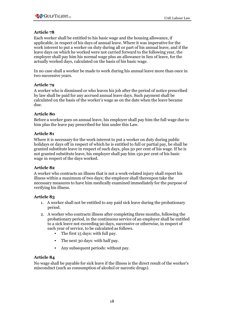Each worker shall be entitled to his basic wage and the housing allowance, if applicable, in respect of his days of annual leave. Where it was imperative for the work interest to put a worker on duty during all or part of his annual leave, and if the leave days on which he worked were not carried forward to the following year, the employer shall pay him his normal wage plus an allowance in lieu of leave, for the actually worked days, calculated on the basis of his basic wage.

In no case shall a worker be made to work during his annual leave more than once in two successive years.

## **Article 79**

A worker who is dismissed or who leaves his job after the period of notice prescribed by law shall be paid for any accrued annual leave days. Such payment shall be calculated on the basis of the worker's wage as on the date when the leave became due.

## **Article 80**

Before a worker goes on annual leave, his employer shall pay him the full wage due to him plus the leave pay prescribed for him under this Law.

## **Article 81**

Where it is necessary for the work interest to put a worker on duty during public holidays or days off in respect of which he is entitled to full or partial pay, he shall be granted substitute leave in respect of such days, plus 50 per cent of his wage. If he is not granted substitute leave, his employer shall pay him 150 per cent of his basic wage in respect of the days worked.

# **Article 82**

A worker who contracts an illness that is not a work-related injury shall report his illness within a maximum of two days; the employer shall thereupon take the necessary measures to have him medically examined immediately for the purpose of verifying his illness.

## **Article 83**

- 1. A worker shall not be entitled to any paid sick leave during the probationary period.
- 2. A worker who contracts illness after completing three months, following the probationary period, in the continuous service of an employer shall be entitled to a sick leave not exceeding 90 days, successive or otherwise, in respect of each year of service, to be calculated as follows.
	- The first 15 days: with full pay.
	- The next 30 days: with half pay.
	- Any subsequent periods: without pay.

# **Article 84**

No wage shall be payable for sick leave if the illness is the direct result of the worker's misconduct (such as consumption of alcohol or narcotic drugs).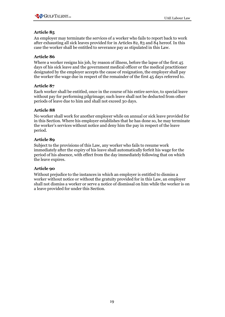

An employer may terminate the services of a worker who fails to report back to work after exhausting all sick leaves provided for in Articles 82, 83 and 84 hereof. In this case the worker shall be entitled to severance pay as stipulated in this Law.

## **Article 86**

Where a worker resigns his job, by reason of illness, before the lapse of the first 45 days of his sick leave and the government medical officer or the medical practitioner designated by the employer accepts the cause of resignation, the employer shall pay the worker the wage due in respect of the remainder of the first 45 days referred to.

### **Article 87**

Each worker shall be entitled, once in the course of his entire service, to special leave without pay for performing pilgrimage; such leave shall not be deducted from other periods of leave due to him and shall not exceed 30 days.

### **Article 88**

No worker shall work for another employer while on annual or sick leave provided for in this Section. Where his employer establishes that he has done so, he may terminate the worker's services without notice and deny him the pay in respect of the leave period.

### **Article 89**

Subject to the provisions of this Law, any worker who fails to resume work immediately after the expiry of his leave shall automatically forfeit his wage for the period of his absence, with effect from the day immediately following that on which the leave expires.

#### **Article 90**

Without prejudice to the instances in which an employer is entitled to dismiss a worker without notice or without the gratuity provided for in this Law, an employer shall not dismiss a worker or serve a notice of dismissal on him while the worker is on a leave provided for under this Section.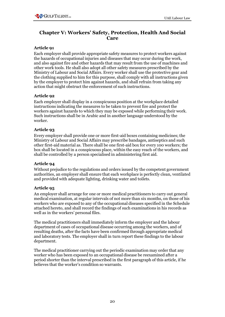

# **Chapter V: Workers' Safety, Protection, Health And Social Care**

## **Article 91**

Each employer shall provide appropriate safety measures to protect workers against the hazards of occupational injuries and diseases that may occur during the work, and also against fire and other hazards that may result from the use of machines and other work tools. He shall also adopt all other safety measures prescribed by the Ministry of Labour and Social Affairs. Every worker shall use the protective gear and the clothing supplied to him for this purpose, shall comply with all instructions given by the employer to protect him against hazards, and shall refrain from taking any action that might obstruct the enforcement of such instructions.

### **Article 92**

Each employer shall display in a conspicuous position at the workplace detailed instructions indicating the measures to be taken to prevent fire and protect the workers against hazards to which they may be exposed while performing their work. Such instructions shall be in Arabic and in another language understood by the worker.

### **Article 93**

Every employer shall provide one or more first-aid boxes containing medicines; the Ministry of Labour and Social Affairs may prescribe bandages, antiseptics and such other first-aid material as. There shall be one first-aid box for every 100 workers; the box shall be located in a conspicuous place, within the easy reach of the workers, and shall be controlled by a person specialised in administering first aid.

#### **Article 94**

Without prejudice to the regulations and orders issued by the competent government authorities, an employer shall ensure that each workplace is perfectly clean, ventilated and provided with adequate lighting, drinking water and toilets.

## **Article 95**

An employer shall arrange for one or more medical practitioners to carry out general medical examination, at regular intervals of not more than six months, on those of his workers who are exposed to any of the occupational diseases specified in the Schedule attached hereto, and shall record the findings of such examinations in his records as well as in the workers' personal files.

The medical practitioners shall immediately inform the employer and the labour department of cases of occupational disease occurring among the workers, and of resulting deaths, after the facts have been confirmed through appropriate medical and laboratory tests. The employer shall in turn report these findings to the labour department.

The medical practitioner carrying out the periodic examination may order that any worker who has been exposed to an occupational disease be reexamined after a period shorter than the interval prescribed in the first paragraph of this article, if he believes that the worker's condition so warrants.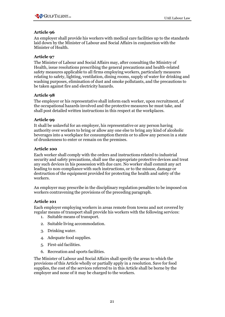An employer shall provide his workers with medical care facilities up to the standards laid down by the Minister of Labour and Social Affairs in conjunction with the Minister of Health.

## **Article 97**

The Minister of Labour and Social Affairs may, after consulting the Ministry of Health, issue resolutions prescribing the general precautions and health-related safety measures applicable to all firms employing workers, particularly measures relating to safety, lighting, ventilation, dining rooms, supply of water for drinking and washing purposes, elimination of dust and smoke pollutants, and the precautions to be taken against fire and electricity hazards.

## **Article 98**

The employer or his representative shall inform each worker, upon recruitment, of the occupational hazards involved and the protective measures he must take, and shall post detailed written instructions in this respect at the workplaces.

## **Article 99**

It shall be unlawful for an employer, his representative or any person having authority over workers to bring or allow any one else to bring any kind of alcoholic beverages into a workplace for consumption therein or to allow any person in a state of drunkenness to enter or remain on the premises.

## **Article 100**

Each worker shall comply with the orders and instructions related to industrial security and safety precautions, shall use the appropriate protective devices and treat any such devices in his possession with due care. No worker shall commit any act leading to non-compliance with such instructions, or to the misuse, damage or destruction of the equipment provided for protecting the health and safety of the workers.

An employer may prescribe in the disciplinary regulation penalties to be imposed on workers contravening the provisions of the preceding paragraph.

## **Article 101**

Each employer employing workers in areas remote from towns and not covered by regular means of transport shall provide his workers with the following services:

- 1. Suitable means of transport.
- 2. Suitable living accommodation.
- 3. Drinking water.
- 4. Adequate food supplies.
- 5. First-aid facilities.
- 6. Recreation and sports facilities.

The Minister of Labour and Social Affairs shall specify the areas to which the provisions of this Article wholly or partially apply in a resolution. Save for food supplies, the cost of the services referred to in this Article shall be borne by the employer and none of it may be charged to the workers.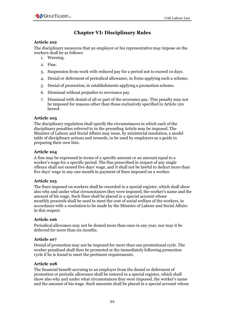# **Chapter VI: Disciplinary Rules**

### **Article 102**

The disciplinary measures that an employer or his representative may impose on the workers shall be as follows:

- 1. Warning.
- 2. Fine.
- 3. Suspension from work with reduced pay for a period not to exceed 10 days.
- 4. Denial or deferment of periodical allowance, in firms applying such a scheme.
- 5. Denial of promotion, in establishments applying a promotion scheme.
- 6. Dismissal without prejudice to severance pay.
- 7. Dismissal with denial of all or part of the severance pay. This penalty may not be imposed for reasons other than those exclusively specified in Article 120 hereof.

### **Article 103**

The disciplinary regulation shall specify the circumstances in which each of the disciplinary penalties referred to in the preceding Article may be imposed. The Minister of Labour and Social Affairs may issue, by ministerial resolution, a model table of disciplinary actions and rewards, to be used by employers as a guide in preparing their own lists.

### **Article 104**

A fine may be expressed in terms of a specific amount or an amount equal to a worker's wage for a specific period. The fine prescribed in respect of any single offence shall not exceed five days' wage, and it shall not be lawful to deduct more than five days' wage in any one month in payment of fines imposed on a worker.

#### **Article 105**

The fines imposed on workers shall be recorded in a special register, which shall show also why and under what circumstances they were imposed, the worker's name and the amount of his wage. Such fines shall be placed in a special account whose monthly proceeds shall be used to meet the cost of social welfare of the workers, in accordance with a resolution to be made by the Minister of Labour and Social Affairs in this respect.

#### **Article 106**

Periodical allowance may not be denied more than once in any year, nor may it be deferred for more than six months.

#### **Article 107**

Denial of promotion may not be imposed for more than one promotional cycle. The worker penalised shall then be promoted at the immediately following promotion cycle if he is found to meet the pertinent requirements.

## **Article 108**

The financial benefit accruing to an employer from the denial or deferment of promotion or periodic allowance shall be entered in a special register, which shall show also why and under what circumstances they were imposed, the worker's name and the amount of his wage. Such amounts shall be placed in a special account whose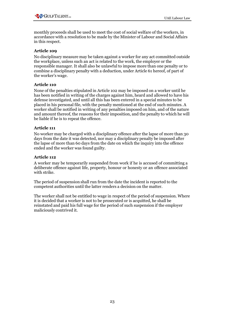monthly proceeds shall be used to meet the cost of social welfare of the workers, in accordance with a resolution to be made by the Minister of Labour and Social Affairs in this respect.

## **Article 109**

No disciplinary measure may be taken against a worker for any act committed outside the workplace, unless such an act is related to the work, the employer or the responsible manager. It shall also be unlawful to impose more than one penalty or to combine a disciplinary penalty with a deduction, under Article 61 hereof, of part of the worker's wage.

## **Article 110**

None of the penalties stipulated in Article 102 may be imposed on a worker until he has been notified in writing of the charges against him, heard and allowed to have his defense investigated, and until all this has been entered in a special minutes to be placed in his personal file, with the penalty mentioned at the end of such minutes. A worker shall be notified in writing of any penalties imposed on him, and of the nature and amount thereof, the reasons for their imposition, and the penalty to which he will be liable if he is to repeat the offence.

### **Article 111**

No worker may be charged with a disciplinary offence after the lapse of more than 30 days from the date it was detected, nor may a disciplinary penalty be imposed after the lapse of more than 60 days from the date on which the inquiry into the offence ended and the worker was found guilty.

#### **Article 112**

A worker may be temporarily suspended from work if he is accused of committing a deliberate offence against life, property, honour or honesty or an offence associated with strike.

The period of suspension shall run from the date the incident is reported to the competent authorities until the latter renders a decision on the matter.

The worker shall not be entitled to wage in respect of the period of suspension. Where it is decided that a worker is not to be prosecuted or is acquitted, he shall be reinstated and paid his full wage for the period of such suspension if the employer maliciously contrived it.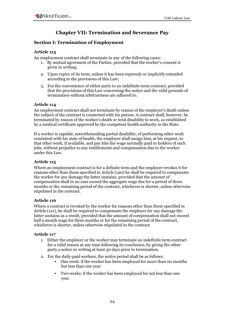# **Chapter VII: Termination and Severance Pay**

# **Section I: Termination of Employment**

## **Article 113**

An employment contract shall terminate in any of the following cases:

- 1. By mutual agreement of the Parties, provided that the worker's consent is given in writing;
- 2. Upon expiry of its term, unless it has been expressly or implicitly extended according to the provisions of this Law;
- 3. For the convenience of either party to an indefinite term contract, provided that the provisions of this Law concerning the notice and the valid grounds of termination without arbitrariness are adhered to.

## **Article 114**

An employment contract shall not terminate by reason of the employer's death unless the subject of the contract is connected with his person. A contract shall, however, be terminated by reason of the worker's death or total disability to work, as established by a medical certificate approved by the competent health authority in the State.

If a worker is capable, notwithstanding partial disability, of performing other work consistent with his state of health, the employer shall assign him, at his request, to that other work, if available, and pay him the wage normally paid to holders of such jobs, without prejudice to any entitlements and compensation due to the worker under this Law.

## **Article 115**

Where an employment contract is for a definite term and the employer revokes it for reasons other than those specified in Article (120) he shall be required to compensate the worker for any damage the latter sustains, provided that the amount of compensation shall in no case exceed the aggregate wage due for a period of three months or the remaining period of the contract, whichever is shorter, unless otherwise stipulated in the contract.

# **Article 116**

Where a contract is revoked by the worker for reasons other than those specified in Article (121), he shall be required to compensate the employer for any damage the latter sustains as a result, provided that the amount of compensation shall not exceed half a month wage for three months or for the remaining period of the contract, whichever is shorter, unless otherwise stipulated in the contract.

## **Article 117**

- 1. Either the employer or the worker may terminate an indefinite term contract for a valid reason at any time following its conclusion, by giving the other party a notice in writing at least 30 days prior to termination.
- 2. For the daily-paid workers, the notice period shall be as follows:
	- One week: if the worker has been employed for more than six months but less than one year.
	- Two weeks: if the worker has been employed for not less than one year.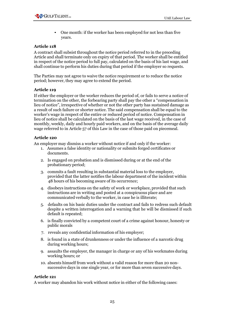

• One month: if the worker has been employed for not less than five years.

#### **Article 118**

A contract shall subsist throughout the notice period referred to in the preceding Article and shall terminate only on expiry of that period. The worker shall be entitled in respect of the notice period to full pay, calculated on the basis of his last wage, and shall continue to perform his duties during that period if the employer so requests.

The Parties may not agree to waive the notice requirement or to reduce the notice period; however, they may agree to extend the period.

#### **Article 119**

If either the employer or the worker reduces the period of, or fails to serve a notice of termination on the other, the forbearing party shall pay the other a "compensation in lieu of notice", irrespective of whether or not the other party has sustained damage as a result of such failure or shorter notice. The said compensation shall be equal to the worker's wage in respect of the entire or reduced period of notice. Compensation in lieu of notice shall be calculated on the basis of the last wage received, in the case of monthly, weekly, daily and hourly paid workers, and on the basis of the average daily wage referred to in Article 57 of this Law in the case of those paid on piecemeal.

#### **Article 120**

An employer may dismiss a worker without notice if and only if the worker:

- 1. Assumes a false identity or nationality or submits forged certificates or documents.
- 2. Is engaged on probation and is dismissed during or at the end of the probationary period;
- 3. commits a fault resulting in substantial material loss to the employer, provided that the latter notifies the labour department of the incident within 48 hours of his becoming aware of its occurrence;
- 4. disobeys instructions on the safety of work or workplace, provided that such instructions are in writing and posted at a conspicuous place and are communicated verbally to the worker, in case he is illiterate;
- 5. defaults on his basic duties under the contract and fails to redress such default despite a written interrogation and a warning that he will be dismissed if such default is repeated;
- 6. is finally convicted by a competent court of a crime against honour, honesty or public morals
- 7. reveals any confidential information of his employer;
- 8. is found in a state of drunkenness or under the influence of a narcotic drug during working hours;
- 9. assaults the employer, the manager in charge or any of his workmates during working hours; or
- 10. absents himself from work without a valid reason for more than 20 nonsuccessive days in one single year, or for more than seven successive days.

#### **Article 121**

A worker may abandon his work without notice in either of the following cases: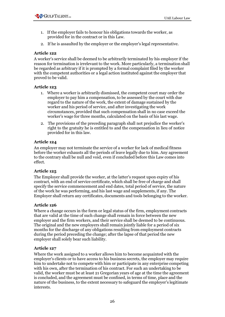- 1. If the employer fails to honour his obligations towards the worker, as provided for in the contract or in this Law.
- 2. If he is assaulted by the employer or the employer's legal representative.

A worker's service shall be deemed to be arbitrarily terminated by his employer if the reason for termination is irrelevant to the work. More particularly, a termination shall be regarded as arbitrary if it is prompted by a formal complaint filed by the worker with the competent authorities or a legal action instituted against the employer that proved to be valid.

### **Article 123**

- 1. Where a worker is arbitrarily dismissed, the competent court may order the employer to pay him a compensation, to be assessed by the court with due regard to the nature of the work, the extent of damage sustained by the worker and his period of service, and after investigating the work circumstances, provided that such compensation shall in no case exceed the worker's wage for three months, calculated on the basis of his last wage.
- 2. The provisions of the preceding paragraph shall not prejudice the worker's right to the gratuity he is entitled to and the compensation in lieu of notice provided for in this law.

## **Article 124**

An employer may not terminate the service of a worker for lack of medical fitness before the worker exhausts all the periods of leave legally due to him. Any agreement to the contrary shall be null and void, even if concluded before this Law comes into effect.

## **Article 125**

The Employer shall provide the worker, at the latter's request upon expiry of his contract, with an end of service certificate, which shall be free of charge and shall specify the service commencement and end dates, total period of service, the nature of the work he was performing, and his last wage and supplements, if any. The Employer shall return any certificates, documents and tools belonging to the worker.

#### **Article 126**

Where a change occurs in the form or legal status of the firm, employment contracts that are valid at the time of such change shall remain in force between the new employer and the firm workers, and their service shall be deemed to be continuous. The original and the new employers shall remain jointly liable for a period of six months for the discharge of any obligations resulting from employment contracts during the period preceding the change; after the lapse of that period the new employer shall solely bear such liability.

#### **Article 127**

Where the work assigned to a worker allows him to become acquainted with the employer's clients or to have access to his business secrets, the employer may require him to undertake not to compete with him or participate in any enterprise competing with his own, after the termination of his contract. For such an undertaking to be valid, the worker must be at least 21 Gregorian years of age at the time the agreement is concluded, and the agreement must be confined, in terms of time, place and the nature of the business, to the extent necessary to safeguard the employer's legitimate interests.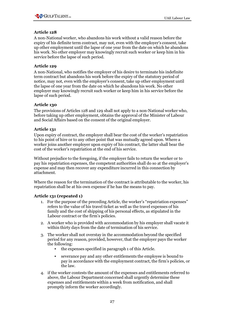

A non-National worker, who abandons his work without a valid reason before the expiry of his definite term contract, may not, even with the employer's consent, take up other employment until the lapse of one year from the date on which he abandons his work. No other employer may knowingly recruit such worker or keep him in his service before the lapse of such period.

## **Article 129**

A non-National, who notifies the employer of his desire to terminate his indefinite term contract but abandons his work before the expiry of the statutory period of notice, may not, even with the employer's consent, take up other employment until the lapse of one year from the date on which he abandons his work. No other employer may knowingly recruit such worker or keep him in his service before the lapse of such period.

## **Article 130**

The provisions of Articles 128 and 129 shall not apply to a non-National worker who, before taking up other employment, obtains the approval of the Minister of Labour and Social Affairs based on the consent of the original employer.

### **Article 131**

Upon expiry of contract, the employer shall bear the cost of the worker's repatriation to his point of hire or to any other point that was mutually agreed upon. Where a worker joins another employer upon expiry of his contract, the latter shall bear the cost of the worker's repatriation at the end of his service.

Without prejudice to the foregoing, if the employer fails to return the worker or to pay his repatriation expenses, the competent authorities shall do so at the employer's expense and may then recover any expenditure incurred in this connection by attachment.

Where the reason for the termination of the contract is attributable to the worker, his repatriation shall be at his own expense if he has the means to pay.

#### **Article 131 (repeated 1)**

- 1. For the purpose of the preceding Article, the worker's "repatriation expenses" refers to the value of his travel ticket as well as the travel expenses of his family and the cost of shipping of his personal effects, as stipulated in the Labour contract or the firm's policies.
- 2. A worker who is provided with accommodation by his employer shall vacate it within thirty days from the date of termination of his service.
- 3. The worker shall not overstay in the accommodation beyond the specified period for any reason, provided, however, that the employer pays the worker the following:
	- the expenses specified in paragraph 1 of this Article.
	- severance pay and any other entitlements the employee is bound to pay in accordance with the employment contract, the firm's policies, or the law.
- 4. if the worker contests the amount of the expenses and entitlements referred to above, the Labour Department concerned shall urgently determine these expenses and entitlements within a week from notification, and shall promptly inform the worker accordingly.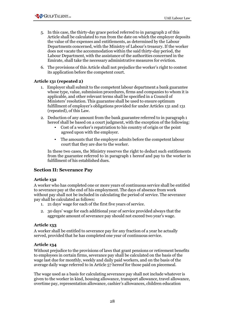- 5. In this case, the thirty-day grace period referred to in paragraph 2 of this Article shall be calculated to run from the date on which the employer deposits the value of the expenses and entitlements, as determined by the Labour Departments concerned, with the Ministry of Labour's treasury. If the worker does not vacate the accommodation within the said thirty-day period, the Labour Department, with the assistance of the authorities concerned in the Emirate, shall take the necessary administrative measures for eviction.
- 6. The provisions of this Article shall not prejudice the worker's right to contest its application before the competent court.

### **Article 131 (repeated 2)**

- 1. Employer shall submit to the competent labour department a bank guarantee whose type, value, submission procedures, firms and companies to whom it is applicable, and other relevant terms shall be specified in a Council of Ministers' resolution. This guarantee shall be used to ensure optimum fulfillment of employer's obligations provided for under Articles 131 and 131 (repeated), of this Law.
- 2. Deduction of any amount from the bank guarantee referred to in paragraph 1 hereof shall be based on a court judgment, with the exception of the following:
	- Cost of a worker's repatriation to his country of origin or the point agreed upon with the employer.
	- The amounts that the employer admits before the competent labour court that they are due to the worker.

In these two cases, the Ministry reserves the right to deduct such entitlements from the guarantee referred to in paragraph 1 hereof and pay to the worker in fulfillment of his established dues.

## **Section II: Severance Pay**

#### **Article 132**

A worker who has completed one or more years of continuous service shall be entitled to severance pay at the end of his employment. The days of absence from work without pay shall not be included in calculating the period of service. The severance pay shall be calculated as follows:

- 1. 21 days' wage for each of the first five years of service.
- 2. 30 days' wage for each additional year of service provided always that the aggregate amount of severance pay should not exceed two year's wage.

#### **Article 133**

A worker shall be entitled to severance pay for any fraction of a year he actually served, provided that he has completed one year of continuous service.

#### **Article 134**

Without prejudice to the provisions of laws that grant pensions or retirement benefits to employees in certain firms, severance pay shall be calculated on the basis of the wage last due for monthly, weekly and daily paid workers, and on the basis of the average daily wage referred to in Article 57 hereof for those paid on piecemeal.

The wage used as a basis for calculating severance pay shall not include whatever is given to the worker in kind, housing allowance, transport allowance, travel allowance, overtime pay, representation allowance, cashier's allowances, children education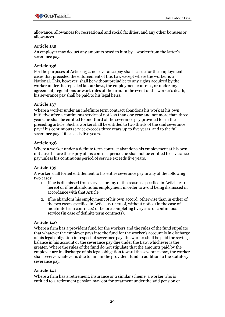allowance, allowances for recreational and social facilities, and any other bonuses or allowances.

## **Article 135**

An employer may deduct any amounts owed to him by a worker from the latter's severance pay.

### **Article 136**

For the purposes of Article 132, no severance pay shall accrue for the employment cases that preceded the enforcement of this Law except where the worker is a National. This, however, shall be without prejudice to any rights acquired by the worker under the repealed labour laws, the employment contract, or under any agreement, regulations or work rules of the firm. In the event of the worker's death, his severance pay shall be paid to his legal heirs.

### **Article 137**

Where a worker under an indefinite term contract abandons his work at his own initiative after a continuous service of not less than one year and not more than three years, he shall be entitled to one-third of the severance pay provided for in the preceding article. Such a worker shall be entitled to two thirds of the said severance pay if his continuous service exceeds three years up to five years, and to the full severance pay if it exceeds five years.

### **Article 138**

Where a worker under a definite term contract abandons his employment at his own initiative before the expiry of his contract period, he shall not be entitled to severance pay unless his continuous period of service exceeds five years.

## **Article 139**

A worker shall forfeit entitlement to his entire severance pay in any of the following two cases:

- 1. If he is dismissed from service for any of the reasons specified in Article 120 hereof or if he abandons his employment in order to avoid being dismissed in accordance with that Article.
- 2. If he abandons his employment of his own accord, otherwise than in either of the two cases specified in Article 121 hereof, without notice (in the case of indefinite term contracts) or before completing five years of continuous service (in case of definite term contracts).

#### **Article 140**

Where a firm has a provident fund for the workers and the rules of the fund stipulate that whatever the employer pays into the fund for the worker's account is in discharge of his legal obligation in respect of severance pay, the worker shall be paid the savings balance in his account or the severance pay due under the Law, whichever is the greater. Where the rules of the fund do not stipulate that the amounts paid by the employer are in discharge of his legal obligation toward the severance pay, the worker shall receive whatever is due to him in the provident fund in addition to the statutory severance pay.

#### **Article 141**

Where a firm has a retirement, insurance or a similar scheme, a worker who is entitled to a retirement pension may opt for treatment under the said pension or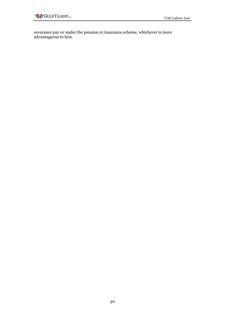severance pay or under the pension or insurance scheme, whichever is more advantageous to him.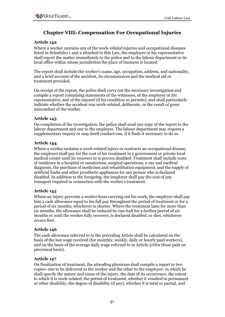# **Chapter VIII: Compensation For Occupational Injuries**

## **Article 142**

Where a worker sustains any of the work-related injuries and occupational diseases listed in Schedules 1 and 2 attached to this Law, the employer or his representative shall report the matter immediately to the police and to the labour department or its local office within whose jurisdiction the place of business is located.

The report shall include the worker's name, age, occupation, address, and nationality, and a brief account of the accident, its circumstances and the medical aid or treatment provided.

On receipt of the report, the police shall carry out the necessary investigation and compile a report containing statements of the witnesses, of the employer or his representative, and of the injured (if his condition so permits), and shall particularly indicate whether the accident was work-related, deliberate, or the result of gross misconduct of the worker.

## **Article 143**

On completion of the investigation, the police shall send one copy of the report to the labour department and one to the employer. The labour department may request a supplementary inquiry or may itself conduct one, if it finds it necessary to do so.

## **Article 144**

Where a worker sustains a work-related injury or contracts an occupational disease, the employer shall pay for the cost of his treatment in a government or private local medical center until he recovers or is proven disabled. Treatment shall include costs of residence in a hospital or sanatorium, surgical operations, x-ray and medical diagnosis, the purchase of medicines and rehabilitation equipment, and the supply of artificial limbs and other prosthetic appliances for any person who is declared disabled. In addition to the foregoing, the employer shall pay the cost of any transport required in connection with the worker's treatment.

## **Article 145**

Where an injury prevents a worker from carrying out his work, the employer shall pay him a cash allowance equal to his full pay throughout the period of treatment or for a period of six months, whichever is shorter. Where the treatment lasts for more than six months, the allowance shall be reduced by one-half for a further period of six months or until the worker fully recovers, is declared disabled, or dies, whichever occurs first.

## **Article 146**

The cash allowance referred to in the preceding Article shall be calculated on the basis of the last wage received (for monthly, weekly, daily or hourly paid workers), and on the basis of the average daily wage referred to in Article 57(for those paid on piecemeal basis).

## **Article 147**

On finalization of treatment, the attending physician shall compile a report in two copies- one to be delivered to the worker and the other to the employer- in which he shall specify the nature and cause of the injury, the date of its occurrence, the extent to which it is work-related, the period of treatment, whether it resulted in permanent or other disability, the degree of disability (if any), whether it is total or partial, and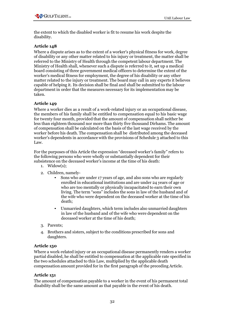the extent to which the disabled worker is fit to resume his work despite the disability.

## **Article 148**

Where a dispute arises as to the extent of a worker's physical fitness for work, degree of disability or any other matter related to his injury or treatment, the matter shall be referred to the Ministry of Health through the competent labour department. The Ministry of Health shall, whenever such a dispute is referred to it, set up a medical board consisting of three government medical officers to determine the extent of the worker's medical fitness for employment, the degree of his disability or any other matter related to the injury or treatment. The board may call in any experts it believes capable of helping it. Its decision shall be final and shall be submitted to the labour department in order that the measures necessary for its implementation may be taken.

### **Article 149**

Where a worker dies as a result of a work-related injury or an occupational disease, the members of his family shall be entitled to compensation equal to his basic wage for twenty four month, provided that the amount of compensation shall neither be less than eighteen thousand nor more than thirty five thousand Dirhams. The amount of compensation shall be calculated on the basis of the last wage received by the worker before his death. The compensation shall be distributed among the deceased worker's dependents in accordance with the provisions of Schedule 3 attached to this Law.

For the purposes of this Article the expression "deceased worker's family" refers to the following persons who were wholly or substantially dependent for their subsistence on the deceased worker's income at the time of his death:

- 1. Widow $(s)$ :
- 2. Children, namely-
	- Sons who are under 17 years of age, and also sons who are regularly enrolled in educational institutions and are under 24 years of age or who are too mentally or physically incapacitated to earn their own living. The term "sons" includes the sons in law of the husband and of the wife who were dependent on the deceased worker at the time of his death;
	- Unmarried daughters, which term includes also unmarried daughters in law of the husband and of the wife who were dependent on the deceased worker at the time of his death;
- 3. Parents;
- 4. Brothers and sisters, subject to the conditions prescribed for sons and daughters.

#### **Article 150**

Where a work-related injury or an occupational disease permanently renders a worker partial disabled, he shall be entitled to compensation at the applicable rate specified in the two schedules attached to this Law, multiplied by the applicable death compensation amount provided for in the first paragraph of the preceding Article.

#### **Article 151**

The amount of compensation payable to a worker in the event of his permanent total disability shall be the same amount as that payable in the event of his death.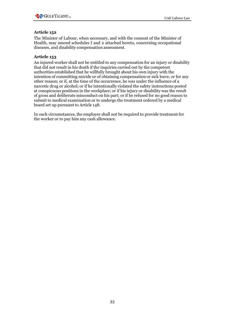The Minister of Labour, when necessary, and with the consent of the Minister of Health, may amend schedules I and 2 attached hereto, concerning occupational diseases, and disability compensation assessment.

## **Article 153**

An injured worker shall not be entitled to any compensation for an injury or disability that did not result in his death if the inquiries carried out by the competent authorities established that he willfully brought about his own injury with the intention of committing suicide or of obtaining compensation or sick leave, or for any other reason; or if, at the time of the occurrence, he was under the influence of a narcotic drug or alcohol; or if he intentionally violated the safety instructions posted at conspicuous positions in the workplace; or if his injury or disability was the result of gross and deliberate misconduct on his part; or if he refused for no good reason to submit to medical examination or to undergo the treatment ordered by a medical board set up pursuant to Article 148.

In such circumstances, the employer shall not be required to provide treatment for the worker or to pay him any cash allowance.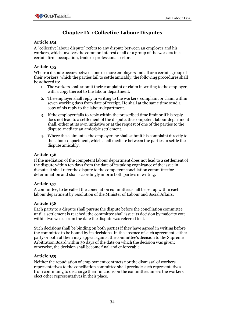# **Chapter IX : Collective Labour Disputes**

#### **Article 154**

A "collective labour dispute" refers to any dispute between an employer and his workers, which involves the common interest of all or a group of the workers in a certain firm, occupation, trade or professional sector.

#### **Article 155**

Where a dispute occurs between one or more employers and all or a certain group of their workers, which the parties fail to settle amicably, the following procedures shall be adhered to:

- 1. The workers shall submit their complaint or claim in writing to the employer, with a copy thereof to the labour department.
- 2. The employer shall reply in writing to the workers' complaint or claim within seven working days from date of receipt. He shall at the same time send a copy of his reply to the labour department.
- 3. If the employer fails to reply within the prescribed time limit or if his reply does not lead to a settlement of the dispute, the competent labour department shall, either at its own initiative or at the request of one of the parties to the dispute, mediate an amicable settlement.
- 4. Where the claimant is the employer, he shall submit his complaint directly to the labour department, which shall mediate between the parties to settle the dispute amicably.

#### **Article 156**

If the mediation of the competent labour department does not lead to a settlement of the dispute within ten days from the date of its taking cognizance of the issue in dispute, it shall refer the dispute to the competent conciliation committee for determination and shall accordingly inform both parties in writing.

## **Article 157**

A committee, to be called the conciliation committee, shall be set up within each labour department by resolution of the Minister of Labour and Social Affairs.

#### **Article 158**

Each party to a dispute shall pursue the dispute before the conciliation committee until a settlement is reached; the committee shall issue its decision by majority vote within two weeks from the date the dispute was referred to it.

Such decisions shall be binding on both parties if they have agreed in writing before the committee to be bound by its decisions. In the absence of such agreement, either party or both of them may appeal against the committee's decision to the Supreme Arbitration Board within 30 days of the date on which the decision was given; otherwise, the decision shall become final and enforceable.

#### **Article 159**

Neither the repudiation of employment contracts nor the dismissal of workers' representatives to the conciliation committee shall preclude such representatives from continuing to discharge their functions on the committee, unless the workers elect other representatives in their place.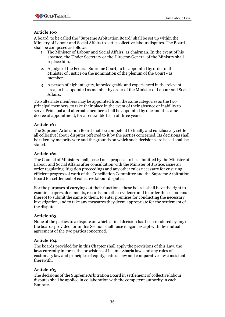A board, to be called the "Supreme Arbitration Board" shall be set up within the Ministry of Labour and Social Affairs to settle collective labour disputes. The Board shall be composed as follows:

- 1. The Minister of Labour and Social Affairs, as chairman. In the event of his absence, the Under Secretary or the Director-General of the Ministry shall replace him.
- 2. A judge of the Federal Supreme Court, to be appointed by order of the Minister of Justice on the nomination of the plenum of the Court - as member.
- 3. A person of high integrity, knowledgeable and experienced in the relevant area, to be appointed as member by order of the Minister of Labour and Social Affairs.

Two alternate members may be appointed from the same categories as the two principal members, to take their place in the event of their absence or inability to serve. Principal and alternate members shall be appointed by one and the same decree of appointment, for a renewable term of three years.

## **Article 161**

The Supreme Arbitration Board shall be competent to finally and conclusively settle all collective labour disputes referred to it by the parties concerned. Its decisions shall be taken by majority vote and the grounds on which such decisions are based shall be stated.

### **Article 162**

The Council of Ministers shall, based on a proposal to be submitted by the Minister of Labour and Social Affairs after consultation with the Minister of Justice, issue an order regulating litigation proceedings and any other rules necessary for ensuring efficient progress of work of the Conciliation Committee and the Supreme Arbitration Board for settlement of collective labour disputes.

For the purposes of carrying out their functions, these boards shall have the right to examine papers, documents, records and other evidence and to order the custodians thereof to submit the same to them, to enter premises for conducting the necessary investigation, and to take any measures they deem appropriate for the settlement of the dispute.

## **Article 163**

None of the parties to a dispute on which a final decision has been rendered by any of the boards provided for in this Section shall raise it again except with the mutual agreement of the two parties concerned.

## **Article 164**

The boards provided for in this Chapter shall apply the provisions of this Law, the laws currently in force, the provisions of Islamic Sharia law, and any rules of customary law and principles of equity, natural law and comparative law consistent therewith.

## **Article 165**

The decisions of the Supreme Arbitration Board in settlement of collective labour disputes shall be applied in collaboration with the competent authority in each Emirate.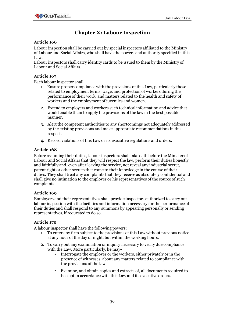# **Chapter X: Labour Inspection**

### **Article 166**

Labour inspection shall be carried out by special inspectors affiliated to the Ministry of Labour and Social Affairs, who shall have the powers and authority specified in this Law.

Labour inspectors shall carry identity cards to be issued to them by the Ministry of Labour and Social Affairs.

#### **Article 167**

Each labour inspector shall:

- 1. Ensure proper compliance with the provisions of this Law, particularly those related to employment terms, wage, and protection of workers during the performance of their work, and matters related to the health and safety of workers and the employment of juveniles and women.
- 2. Extend to employers and workers such technical information and advice that would enable them to apply the provisions of the law in the best possible manner.
- 3. Alert the competent authorities to any shortcomings not adequately addressed by the existing provisions and make appropriate recommendations in this respect.
- 4. Record violations of this Law or its executive regulations and orders.

### **Article 168**

Before assuming their duties, labour inspectors shall take oath before the Minister of Labour and Social Affairs that they will respect the law, perform their duties honestly and faithfully and, even after leaving the service, not reveal any industrial secret, patent right or other secrets that come to their knowledge in the course of their duties. They shall treat any complaints that they receive as absolutely confidential and shall give no intimation to the employer or his representatives of the source of such complaints.

#### **Article 169**

Employers and their representatives shall provide inspectors authorized to carry out labour inspection with the facilities and information necessary for the performance of their duties and shall respond to any summons by appearing personally or sending representatives, if requested to do so.

#### **Article 170**

A labour inspector shall have the following powers:

- 1. To enter any firm subject to the provisions of this Law without previous notice at any hour of the day or night, but within the working hours.
- 2. To carry out any examination or inquiry necessary to verify due compliance with the Law. More particularly, he may-
	- Interrogate the employer or the workers, either privately or in the presence of witnesses, about any matters related to compliance with the provisions of the law.
	- Examine, and obtain copies and extracts of, all documents required to be kept in accordance with this Law and its executive orders.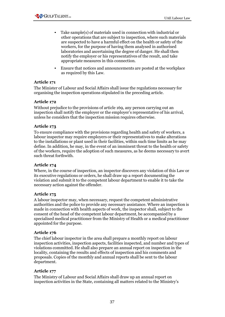

- Take sample(s) of materials used in connection with industrial or other operations that are subject to inspection, where such materials are suspected to have a harmful effect on the health or safety of the workers, for the purpose of having them analysed in authorised laboratories and ascertaining the degree of danger. He shall then notify the employer or his representatives of the result, and take appropriate measures in this connection.
- Ensure that notices and announcements are posted at the workplace as required by this Law.

The Minister of Labour and Social Affairs shall issue the regulations necessary for organising the inspection operations stipulated in the preceding article.

#### **Article 172**

Without prejudice to the provisions of article 169, any person carrying out an inspection shall notify the employer or the employer's representative of his arrival, unless he considers that the inspection mission requires otherwise.

### **Article 173**

To ensure compliance with the provisions regarding health and safety of workers, a labour inspector may require employers or their representatives to make alterations to the installations or plant used in their facilities, within such time limits as he may define. In addition, he may, in the event of an imminent threat to the health or safety of the workers, require the adoption of such measures, as he deems necessary to avert such threat forthwith.

## **Article 174**

Where, in the course of inspection, an inspector discovers any violation of this Law or its executive regulations or orders, he shall draw up a report documenting the violation and submit it to the competent labour department to enable it to take the necessary action against the offender.

## **Article 175**

A labour inspector may, when necessary, request the competent administrative authorities and the police to provide any necessary assistance. Where an inspection is made in connection with health aspects of work, the inspector shall, subject to the consent of the head of the competent labour department, be accompanied by a specialised medical practitioner from the Ministry of Health or a medical practitioner appointed for the purpose.

#### **Article 176**

The chief labour inspector in the area shall prepare a monthly report on labour inspection activities, inspection aspects, facilities inspected, and number and types of violations committed. He shall also prepare an annual report on inspection in the locality, containing the results and effects of inspection and his comments and proposals. Copies of the monthly and annual reports shall be sent to the labour department.

## **Article 177**

The Ministry of Labour and Social Affairs shall draw up an annual report on inspection activities in the State, containing all matters related to the Ministry's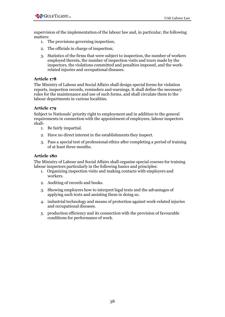

supervision of the implementation of the labour law and, in particular, the following matters:

- 1. The provisions governing inspection;
- 2. The officials in charge of inspection;
- 3. Statistics of the firms that were subject to inspection, the number of workers employed therein, the number of inspection visits and tours made by the inspectors, the violations committed and penalties imposed, and the workrelated injuries and occupational diseases.

#### **Article 178**

The Ministry of Labour and Social Affairs shall design special forms for violation reports, inspection records, reminders and warnings. It shall define the necessary rules for the maintenance and use of such forms, and shall circulate them to the labour departments in various localities.

#### **Article 179**

Subject to Nationals' priority right to employment and in addition to the general requirements in connection with the appointment of employees, labour inspectors shall-

- 1. Be fairly impartial.
- 2. Have no direct interest in the establishments they inspect.
- 3. Pass a special test of professional ethics after completing a period of training of at least three months.

#### **Article 180**

The Ministry of Labour and Social Affairs shall organise special courses for training labour inspectors particularly in the following basics and principles:

- 1. Organizing inspection visits and making contacts with employers and workers.
- 2. Auditing of records and books.
- 3. Showing employers how to interpret legal texts and the advantages of applying such texts and assisting them in doing so.
- 4. industrial technology and means of protection against work-related injuries and occupational diseases.
- 5. production efficiency and its connection with the provision of favourable conditions for performance of work.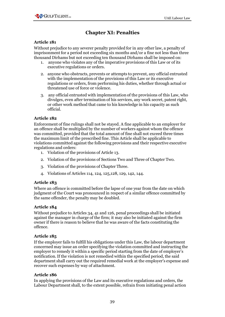# **Chapter XI: Penalties**

## **Article 181**

Without prejudice to any severer penalty provided for in any other law, a penalty of imprisonment for a period not exceeding six months and/or a fine not less than three thousand Dirhams but not exceeding ten thousand Dirhams shall be imposed on:

- 1. anyone who violates any of the imperative provisions of this Law or of its executive regulations or orders.
- 2. anyone who obstructs, prevents or attempts to prevent, any official entrusted with the implementation of the provisions of this Law or its executive regulations or orders, from performing his duties, whether through actual or threatened use of force or violence.
- 3. any official entrusted with implementation of the provisions of this Law, who divulges, even after termination of his services, any work secret, patent right, or other work method that came to his knowledge in his capacity as such official.

### **Article 182**

Enforcement of fine rulings shall not be stayed. A fine applicable to an employer for an offence shall be multiplied by the number of workers against whom the offence was committed, provided that the total amount of fine shall not exceed three times the maximum limit of the prescribed fine. This Article shall be applicable to violations committed against the following provisions and their respective executive regulations and orders:

- 1. Violation of the provisions of Article 13.
- 2. Violation of the provisions of Sections Two and Three of Chapter Two.
- 3. Violation of the provisions of Chapter Three.
- 4. Violations of Articles 114, 124, 125,128, 129, 142, 144.

#### **Article 183**

Where an offence is committed before the lapse of one year from the date on which judgment of the Court was pronounced in respect of a similar offence committed by the same offender, the penalty may be doubled.

#### **Article 184**

Without prejudice to Articles 34, 41 and 126, penal proceedings shall be initiated against the manager in charge of the firm; it may also be initiated against the firm owner if there is reason to believe that he was aware of the facts constituting the offence.

#### **Article 185**

If the employer fails to fulfill his obligations under this Law, the labour department concerned may issue an order specifying the violation committed and instructing the employer to remedy it within a specific period starting from the date of employer's notification.If the violation is not remedied within the specified period, the said department shall carry out the required remedial work at the employer's expense and recover such expenses by way of attachment.

#### **Article 186**

In applying the provisions of the Law and its executive regulations and orders, the Labour Department shall, to the extent possible, refrain from initiating penal action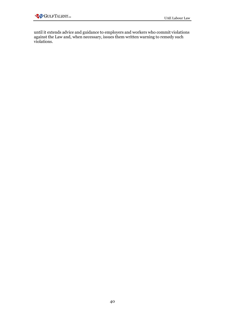until it extends advice and guidance to employers and workers who commit violations against the Law and, when necessary, issues them written warning to remedy such violations.